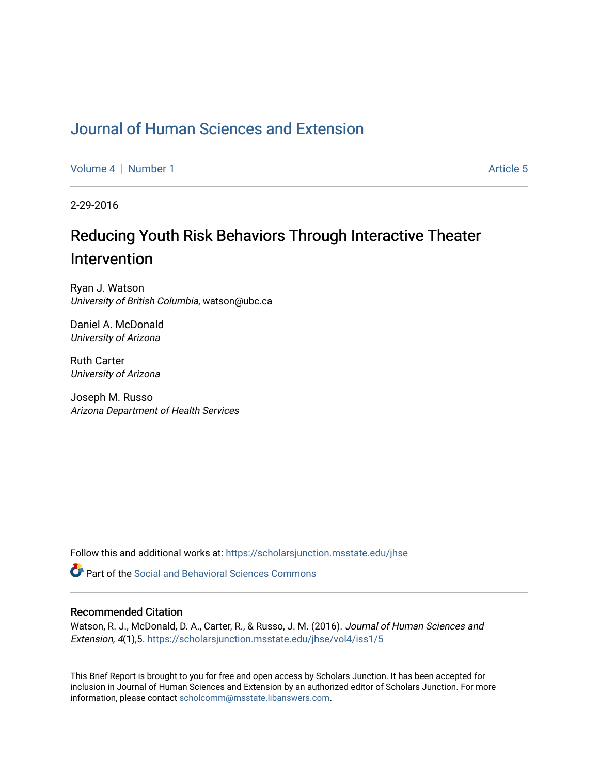## [Journal of Human Sciences and Extension](https://scholarsjunction.msstate.edu/jhse)

[Volume 4](https://scholarsjunction.msstate.edu/jhse/vol4) | [Number 1](https://scholarsjunction.msstate.edu/jhse/vol4/iss1) Article 5

2-29-2016

# Reducing Youth Risk Behaviors Through Interactive Theater Intervention

Ryan J. Watson University of British Columbia, watson@ubc.ca

Daniel A. McDonald University of Arizona

Ruth Carter University of Arizona

Joseph M. Russo Arizona Department of Health Services

Follow this and additional works at: [https://scholarsjunction.msstate.edu/jhse](https://scholarsjunction.msstate.edu/jhse?utm_source=scholarsjunction.msstate.edu%2Fjhse%2Fvol4%2Fiss1%2F5&utm_medium=PDF&utm_campaign=PDFCoverPages)

**C** Part of the Social and Behavioral Sciences Commons

#### Recommended Citation

Watson, R. J., McDonald, D. A., Carter, R., & Russo, J. M. (2016). Journal of Human Sciences and Extension, 4(1),5. [https://scholarsjunction.msstate.edu/jhse/vol4/iss1/5](https://scholarsjunction.msstate.edu/jhse/vol4/iss1/5?utm_source=scholarsjunction.msstate.edu%2Fjhse%2Fvol4%2Fiss1%2F5&utm_medium=PDF&utm_campaign=PDFCoverPages)

This Brief Report is brought to you for free and open access by Scholars Junction. It has been accepted for inclusion in Journal of Human Sciences and Extension by an authorized editor of Scholars Junction. For more information, please contact [scholcomm@msstate.libanswers.com](mailto:scholcomm@msstate.libanswers.com).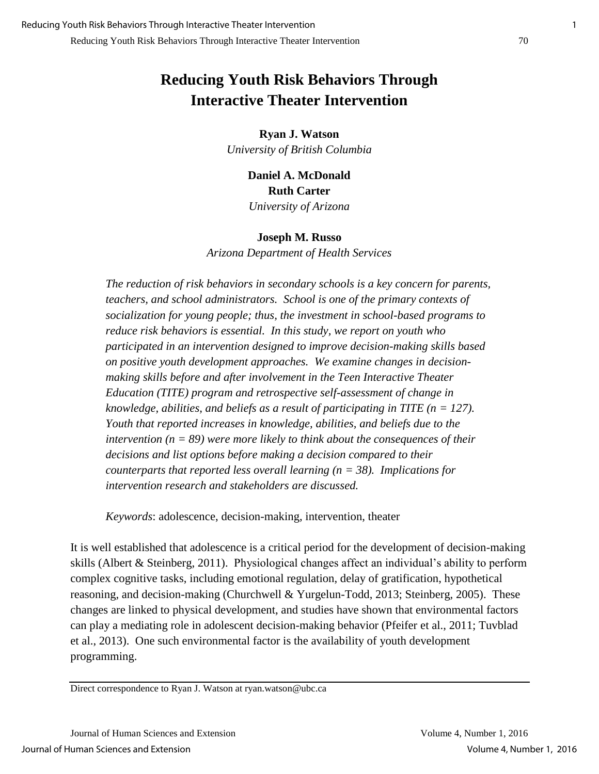## **Reducing Youth Risk Behaviors Through Interactive Theater Intervention**

**Ryan J. Watson** *University of British Columbia* 

> **Daniel A. McDonald Ruth Carter**  *University of Arizona*

### **Joseph M. Russo**

*Arizona Department of Health Services* 

*The reduction of risk behaviors in secondary schools is a key concern for parents, teachers, and school administrators. School is one of the primary contexts of socialization for young people; thus, the investment in school-based programs to reduce risk behaviors is essential. In this study, we report on youth who participated in an intervention designed to improve decision-making skills based on positive youth development approaches. We examine changes in decisionmaking skills before and after involvement in the Teen Interactive Theater Education (TITE) program and retrospective self-assessment of change in knowledge, abilities, and beliefs as a result of participating in TITE (n = 127). Youth that reported increases in knowledge, abilities, and beliefs due to the intervention (n = 89) were more likely to think about the consequences of their decisions and list options before making a decision compared to their counterparts that reported less overall learning (n = 38). Implications for intervention research and stakeholders are discussed.* 

*Keywords*: adolescence, decision-making, intervention, theater

It is well established that adolescence is a critical period for the development of decision-making skills (Albert & Steinberg, 2011). Physiological changes affect an individual's ability to perform complex cognitive tasks, including emotional regulation, delay of gratification, hypothetical reasoning, and decision-making (Churchwell & Yurgelun-Todd, 2013; Steinberg, 2005). These changes are linked to physical development, and studies have shown that environmental factors can play a mediating role in adolescent decision-making behavior (Pfeifer et al., 2011; Tuvblad et al., 2013). One such environmental factor is the availability of youth development programming.

Direct correspondence to Ryan J. Watson at ryan.watson@ubc.ca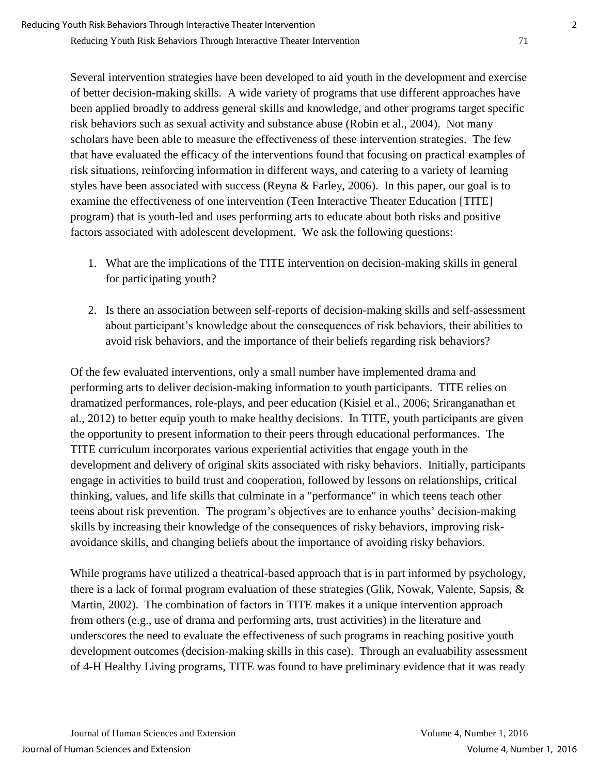Several intervention strategies have been developed to aid youth in the development and exercise of better decision-making skills. A wide variety of programs that use different approaches have been applied broadly to address general skills and knowledge, and other programs target specific risk behaviors such as sexual activity and substance abuse (Robin et al., 2004). Not many scholars have been able to measure the effectiveness of these intervention strategies. The few that have evaluated the efficacy of the interventions found that focusing on practical examples of risk situations, reinforcing information in different ways, and catering to a variety of learning styles have been associated with success (Reyna & Farley, 2006). In this paper, our goal is to examine the effectiveness of one intervention (Teen Interactive Theater Education [TITE] program) that is youth-led and uses performing arts to educate about both risks and positive factors associated with adolescent development. We ask the following questions:

- 1. What are the implications of the TITE intervention on decision-making skills in general for participating youth?
- 2. Is there an association between self-reports of decision-making skills and self-assessment about participant's knowledge about the consequences of risk behaviors, their abilities to avoid risk behaviors, and the importance of their beliefs regarding risk behaviors?

Of the few evaluated interventions, only a small number have implemented drama and performing arts to deliver decision-making information to youth participants. TITE relies on dramatized performances, role-plays, and peer education (Kisiel et al., 2006; Sriranganathan et al., 2012) to better equip youth to make healthy decisions. In TITE, youth participants are given the opportunity to present information to their peers through educational performances. The TITE curriculum incorporates various experiential activities that engage youth in the development and delivery of original skits associated with risky behaviors. Initially, participants engage in activities to build trust and cooperation, followed by lessons on relationships, critical thinking, values, and life skills that culminate in a "performance" in which teens teach other teens about risk prevention. The program's objectives are to enhance youths' decision-making skills by increasing their knowledge of the consequences of risky behaviors, improving riskavoidance skills, and changing beliefs about the importance of avoiding risky behaviors.

While programs have utilized a theatrical-based approach that is in part informed by psychology, there is a lack of formal program evaluation of these strategies (Glik, Nowak, Valente, Sapsis, & Martin, 2002). The combination of factors in TITE makes it a unique intervention approach from others (e.g., use of drama and performing arts, trust activities) in the literature and underscores the need to evaluate the effectiveness of such programs in reaching positive youth development outcomes (decision-making skills in this case). Through an evaluability assessment of 4-H Healthy Living programs, TITE was found to have preliminary evidence that it was ready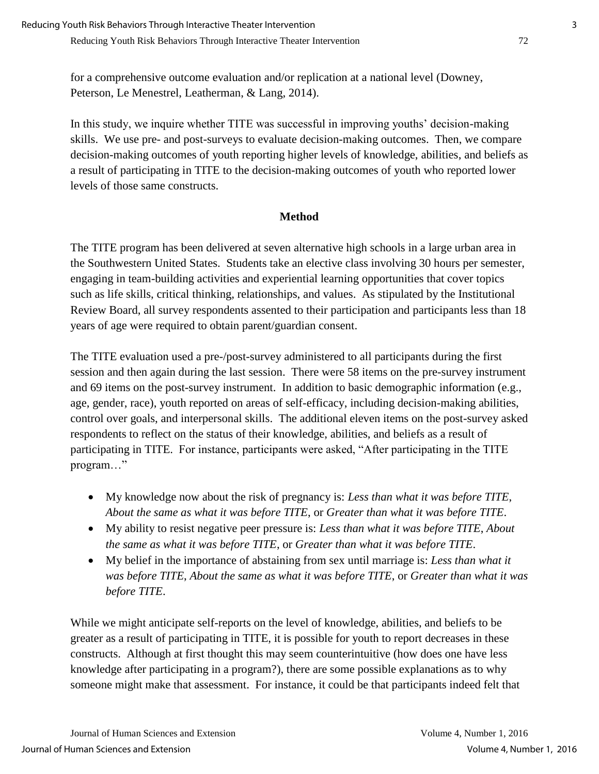for a comprehensive outcome evaluation and/or replication at a national level (Downey, Peterson, Le Menestrel, Leatherman, & Lang, 2014).

In this study, we inquire whether TITE was successful in improving youths' decision-making skills. We use pre- and post-surveys to evaluate decision-making outcomes. Then, we compare decision-making outcomes of youth reporting higher levels of knowledge, abilities, and beliefs as a result of participating in TITE to the decision-making outcomes of youth who reported lower levels of those same constructs.

## **Method**

The TITE program has been delivered at seven alternative high schools in a large urban area in the Southwestern United States. Students take an elective class involving 30 hours per semester, engaging in team-building activities and experiential learning opportunities that cover topics such as life skills, critical thinking, relationships, and values. As stipulated by the Institutional Review Board, all survey respondents assented to their participation and participants less than 18 years of age were required to obtain parent/guardian consent.

The TITE evaluation used a pre-/post-survey administered to all participants during the first session and then again during the last session. There were 58 items on the pre-survey instrument and 69 items on the post-survey instrument. In addition to basic demographic information (e.g., age, gender, race), youth reported on areas of self-efficacy, including decision-making abilities, control over goals, and interpersonal skills. The additional eleven items on the post-survey asked respondents to reflect on the status of their knowledge, abilities, and beliefs as a result of participating in TITE. For instance, participants were asked, "After participating in the TITE program…"

- My knowledge now about the risk of pregnancy is: *Less than what it was before TITE*, *About the same as what it was before TITE*, or *Greater than what it was before TITE*.
- My ability to resist negative peer pressure is: *Less than what it was before TITE*, *About the same as what it was before TITE*, or *Greater than what it was before TITE*.
- My belief in the importance of abstaining from sex until marriage is: *Less than what it was before TITE*, *About the same as what it was before TITE*, or *Greater than what it was before TITE*.

While we might anticipate self-reports on the level of knowledge, abilities, and beliefs to be greater as a result of participating in TITE, it is possible for youth to report decreases in these constructs. Although at first thought this may seem counterintuitive (how does one have less knowledge after participating in a program?), there are some possible explanations as to why someone might make that assessment. For instance, it could be that participants indeed felt that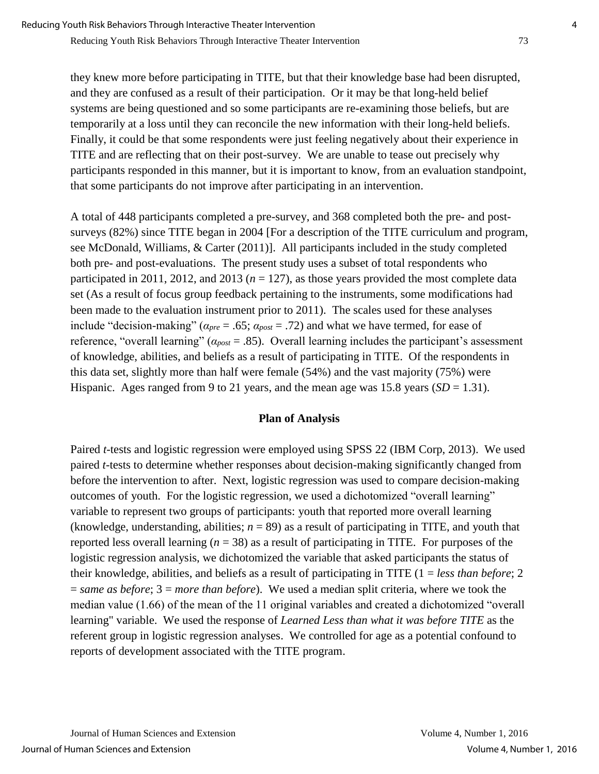they knew more before participating in TITE, but that their knowledge base had been disrupted, and they are confused as a result of their participation. Or it may be that long-held belief systems are being questioned and so some participants are re-examining those beliefs, but are temporarily at a loss until they can reconcile the new information with their long-held beliefs. Finally, it could be that some respondents were just feeling negatively about their experience in TITE and are reflecting that on their post-survey. We are unable to tease out precisely why participants responded in this manner, but it is important to know, from an evaluation standpoint, that some participants do not improve after participating in an intervention.

A total of 448 participants completed a pre-survey, and 368 completed both the pre- and postsurveys (82%) since TITE began in 2004 [For a description of the TITE curriculum and program, see McDonald, Williams, & Carter (2011)]. All participants included in the study completed both pre- and post-evaluations. The present study uses a subset of total respondents who participated in 2011, 2012, and 2013 ( $n = 127$ ), as those years provided the most complete data set (As a result of focus group feedback pertaining to the instruments, some modifications had been made to the evaluation instrument prior to 2011). The scales used for these analyses include "decision-making" ( $a_{pre} = .65$ ;  $a_{post} = .72$ ) and what we have termed, for ease of reference, "overall learning" (*αpost* = .85). Overall learning includes the participant's assessment of knowledge, abilities, and beliefs as a result of participating in TITE. Of the respondents in this data set, slightly more than half were female (54%) and the vast majority (75%) were Hispanic. Ages ranged from 9 to 21 years, and the mean age was 15.8 years  $(SD = 1.31)$ .

### **Plan of Analysis**

Paired *t*-tests and logistic regression were employed using SPSS 22 (IBM Corp, 2013). We used paired *t*-tests to determine whether responses about decision-making significantly changed from before the intervention to after. Next, logistic regression was used to compare decision-making outcomes of youth. For the logistic regression, we used a dichotomized "overall learning" variable to represent two groups of participants: youth that reported more overall learning (knowledge, understanding, abilities;  $n = 89$ ) as a result of participating in TITE, and youth that reported less overall learning  $(n = 38)$  as a result of participating in TITE. For purposes of the logistic regression analysis, we dichotomized the variable that asked participants the status of their knowledge, abilities, and beliefs as a result of participating in TITE (1 = *less than before*; 2 = *same as before*; 3 = *more than before*). We used a median split criteria, where we took the median value (1.66) of the mean of the 11 original variables and created a dichotomized "overall learning" variable. We used the response of *Learned Less than what it was before TITE* as the referent group in logistic regression analyses. We controlled for age as a potential confound to reports of development associated with the TITE program.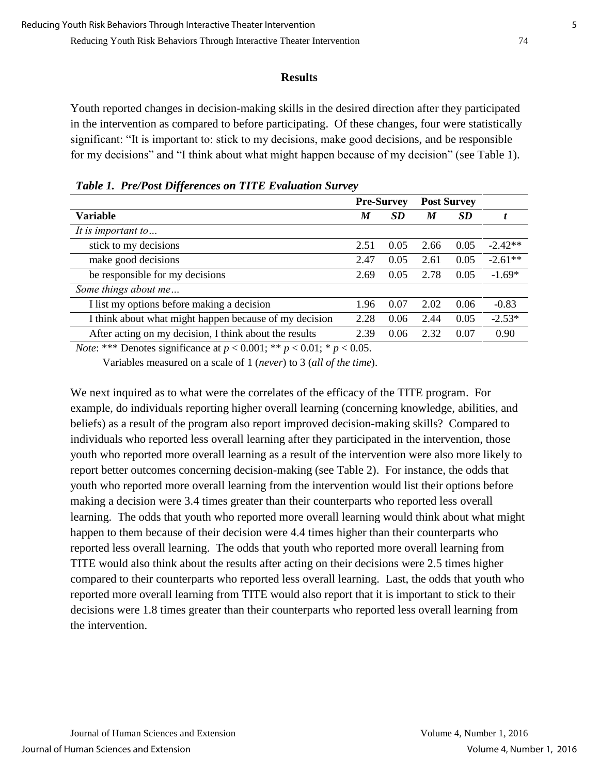#### **Results**

Youth reported changes in decision-making skills in the desired direction after they participated in the intervention as compared to before participating. Of these changes, four were statistically significant: "It is important to: stick to my decisions, make good decisions, and be responsible for my decisions" and "I think about what might happen because of my decision" (see Table 1).

|                                                        | <b>Pre-Survey</b> |           | <b>Post Survey</b> |           |           |
|--------------------------------------------------------|-------------------|-----------|--------------------|-----------|-----------|
| <b>Variable</b>                                        | M                 | <b>SD</b> | M                  | <b>SD</b> |           |
| It is important to                                     |                   |           |                    |           |           |
| stick to my decisions                                  | 2.51              | 0.05      | 2.66               | 0.05      | $-2.42**$ |
| make good decisions                                    | 2.47              | 0.05      | 2.61               | 0.05      | $-2.61**$ |
| be responsible for my decisions                        | 2.69              | 0.05      | 2.78               | 0.05      | $-1.69*$  |
| Some things about me                                   |                   |           |                    |           |           |
| I list my options before making a decision             | 1.96              | 0.07      | 2.02               | 0.06      | $-0.83$   |
| I think about what might happen because of my decision | 2.28              | 0.06      | 2.44               | 0.05      | $-2.53*$  |
| After acting on my decision, I think about the results | 2.39              | 0.06      | 2.32               | 0.07      | 0.90      |

*Table 1. Pre/Post Differences on TITE Evaluation Survey*

*Note*: \*\*\* Denotes significance at  $p < 0.001$ ; \*\*  $p < 0.01$ ; \*  $p < 0.05$ .

Variables measured on a scale of 1 (*never*) to 3 (*all of the time*).

We next inquired as to what were the correlates of the efficacy of the TITE program. For example, do individuals reporting higher overall learning (concerning knowledge, abilities, and beliefs) as a result of the program also report improved decision-making skills? Compared to individuals who reported less overall learning after they participated in the intervention, those youth who reported more overall learning as a result of the intervention were also more likely to report better outcomes concerning decision-making (see Table 2). For instance, the odds that youth who reported more overall learning from the intervention would list their options before making a decision were 3.4 times greater than their counterparts who reported less overall learning. The odds that youth who reported more overall learning would think about what might happen to them because of their decision were 4.4 times higher than their counterparts who reported less overall learning. The odds that youth who reported more overall learning from TITE would also think about the results after acting on their decisions were 2.5 times higher compared to their counterparts who reported less overall learning. Last, the odds that youth who reported more overall learning from TITE would also report that it is important to stick to their decisions were 1.8 times greater than their counterparts who reported less overall learning from the intervention.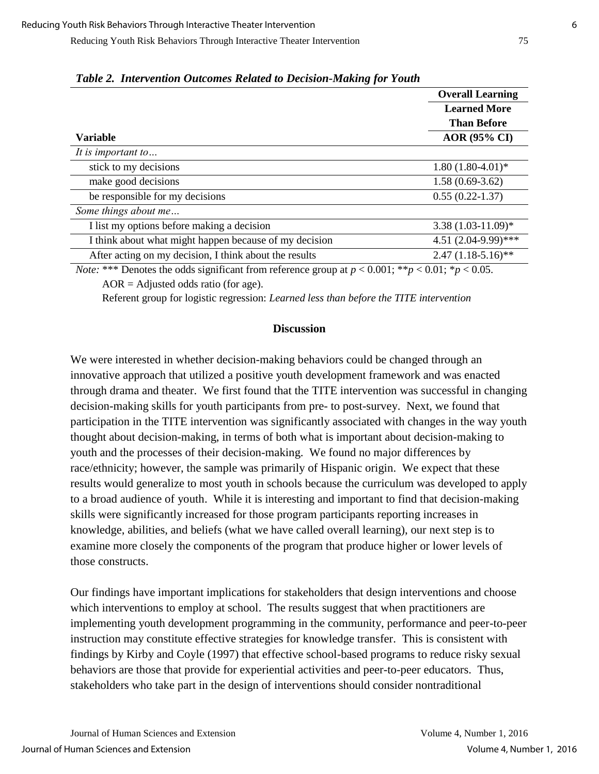Reducing Youth Risk Behaviors Through Interactive Theater Intervention 75

|                                                                                                                   | <b>Overall Learning</b>                                          |  |  |
|-------------------------------------------------------------------------------------------------------------------|------------------------------------------------------------------|--|--|
|                                                                                                                   | <b>Learned More</b><br><b>Than Before</b><br><b>AOR</b> (95% CI) |  |  |
|                                                                                                                   |                                                                  |  |  |
| <b>Variable</b>                                                                                                   |                                                                  |  |  |
| It is important to                                                                                                |                                                                  |  |  |
| stick to my decisions                                                                                             | $1.80(1.80-4.01)$ *                                              |  |  |
| make good decisions                                                                                               | $1.58(0.69-3.62)$                                                |  |  |
| be responsible for my decisions                                                                                   | $0.55(0.22 - 1.37)$                                              |  |  |
| Some things about me                                                                                              |                                                                  |  |  |
| I list my options before making a decision                                                                        | $3.38(1.03-11.09)*$                                              |  |  |
| I think about what might happen because of my decision                                                            | 4.51 (2.04-9.99)***                                              |  |  |
| After acting on my decision, I think about the results                                                            | $2.47(1.18-5.16)$ **                                             |  |  |
| <i>Note</i> : *** Denotes the odds significant from reference group at $n < 0.001$ : ** $n < 0.01$ : * $n < 0.05$ |                                                                  |  |  |

*Table 2. Intervention Outcomes Related to Decision-Making for Youth*

*Note:* \*\*\* Denotes the odds significant from reference group at  $p < 0.001$ ; \*\* $p < 0.01$ ; \* $p < 0.05$ .  $AOR =$  Adjusted odds ratio (for age).

Referent group for logistic regression: *Learned less than before the TITE intervention*

### **Discussion**

We were interested in whether decision-making behaviors could be changed through an innovative approach that utilized a positive youth development framework and was enacted through drama and theater. We first found that the TITE intervention was successful in changing decision-making skills for youth participants from pre- to post-survey. Next, we found that participation in the TITE intervention was significantly associated with changes in the way youth thought about decision-making, in terms of both what is important about decision-making to youth and the processes of their decision-making. We found no major differences by race/ethnicity; however, the sample was primarily of Hispanic origin. We expect that these results would generalize to most youth in schools because the curriculum was developed to apply to a broad audience of youth. While it is interesting and important to find that decision-making skills were significantly increased for those program participants reporting increases in knowledge, abilities, and beliefs (what we have called overall learning), our next step is to examine more closely the components of the program that produce higher or lower levels of those constructs.

Our findings have important implications for stakeholders that design interventions and choose which interventions to employ at school. The results suggest that when practitioners are implementing youth development programming in the community, performance and peer-to-peer instruction may constitute effective strategies for knowledge transfer. This is consistent with findings by Kirby and Coyle (1997) that effective school-based programs to reduce risky sexual behaviors are those that provide for experiential activities and peer-to-peer educators. Thus, stakeholders who take part in the design of interventions should consider nontraditional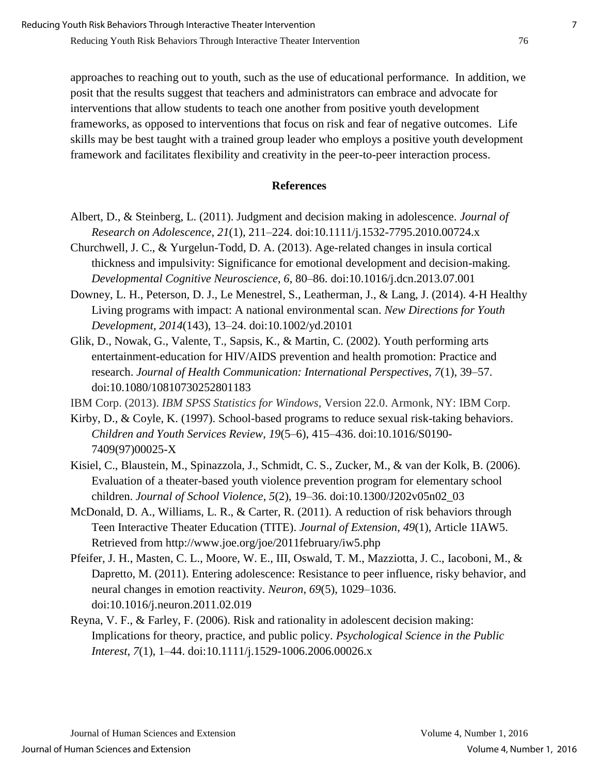approaches to reaching out to youth, such as the use of educational performance. In addition, we posit that the results suggest that teachers and administrators can embrace and advocate for interventions that allow students to teach one another from positive youth development frameworks, as opposed to interventions that focus on risk and fear of negative outcomes. Life skills may be best taught with a trained group leader who employs a positive youth development framework and facilitates flexibility and creativity in the peer-to-peer interaction process.

## **References**

- Albert, D., & Steinberg, L. (2011). Judgment and decision making in adolescence. *Journal of Research on Adolescence, 21*(1), 211–224. doi:10.1111/j.1532-7795.2010.00724.x
- Churchwell, J. C., & Yurgelun-Todd, D. A. (2013). Age-related changes in insula cortical thickness and impulsivity: Significance for emotional development and decision-making. *Developmental Cognitive Neuroscience*, *6*, 80–86. doi:10.1016/j.dcn.2013.07.001
- Downey, L. H., Peterson, D. J., Le Menestrel, S., Leatherman, J., & Lang, J. (2014). 4‐H Healthy Living programs with impact: A national environmental scan. *New Directions for Youth Development*, *2014*(143), 13–24. doi:10.1002/yd.20101
- Glik, D., Nowak, G., Valente, T., Sapsis, K., & Martin, C. (2002). Youth performing arts entertainment-education for HIV/AIDS prevention and health promotion: Practice and research. *Journal of Health Communication: International Perspectives*, *7*(1), 39–57. doi:10.1080/10810730252801183

IBM Corp. (2013). *IBM SPSS Statistics for Windows*, Version 22.0. Armonk, NY: IBM Corp.

- Kirby, D., & Coyle, K. (1997). School-based programs to reduce sexual risk-taking behaviors. *Children and Youth Services Review*, *19*(5–6), 415–436. doi:10.1016/S0190- 7409(97)00025-X
- Kisiel, C., Blaustein, M., Spinazzola, J., Schmidt, C. S., Zucker, M., & van der Kolk, B. (2006). Evaluation of a theater-based youth violence prevention program for elementary school children. *Journal of School Violence*, *5*(2), 19–36. doi:10.1300/J202v05n02\_03
- McDonald, D. A., Williams, L. R., & Carter, R. (2011). A reduction of risk behaviors through Teen Interactive Theater Education (TITE). *Journal of Extension*, *49*(1), Article 1IAW5. Retrieved from http://www.joe.org/joe/2011february/iw5.php
- Pfeifer, J. H., Masten, C. L., Moore, W. E., III, Oswald, T. M., Mazziotta, J. C., Iacoboni, M., & Dapretto, M. (2011). Entering adolescence: Resistance to peer influence, risky behavior, and neural changes in emotion reactivity. *Neuron*, *69*(5), 1029–1036. doi:10.1016/j.neuron.2011.02.019
- Reyna, V. F., & Farley, F. (2006). Risk and rationality in adolescent decision making: Implications for theory, practice, and public policy. *Psychological Science in the Public Interest*, *7*(1), 1–44. doi:10.1111/j.1529-1006.2006.00026.x